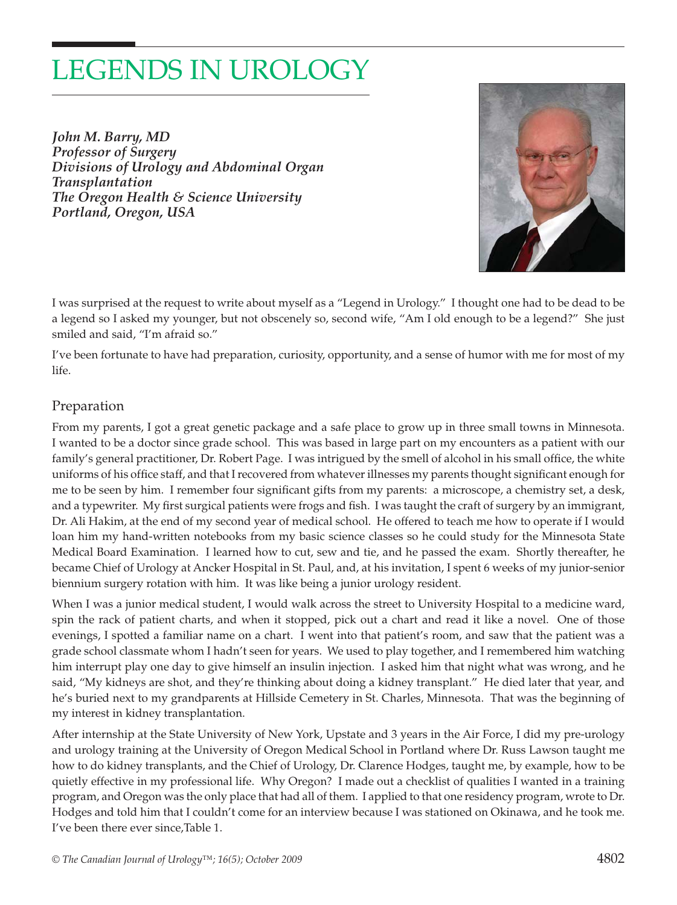# LEGENDS IN UROLOGY

*John M. Barry, MD Professor of Surgery Divisions of Urology and Abdominal Organ Transplantation The Oregon Health & Science University Portland, Oregon, USA*



I was surprised at the request to write about myself as a "Legend in Urology." I thought one had to be dead to be a legend so I asked my younger, but not obscenely so, second wife, "Am I old enough to be a legend?" She just smiled and said, "I'm afraid so."

I've been fortunate to have had preparation, curiosity, opportunity, and a sense of humor with me for most of my life.

# Preparation

From my parents, I got a great genetic package and a safe place to grow up in three small towns in Minnesota. I wanted to be a doctor since grade school. This was based in large part on my encounters as a patient with our family's general practitioner, Dr. Robert Page. I was intrigued by the smell of alcohol in his small office, the white uniforms of his office staff, and that I recovered from whatever illnesses my parents thought significant enough for me to be seen by him. I remember four significant gifts from my parents: a microscope, a chemistry set, a desk, and a typewriter. My first surgical patients were frogs and fish. I was taught the craft of surgery by an immigrant, Dr. Ali Hakim, at the end of my second year of medical school. He offered to teach me how to operate if I would loan him my hand-written notebooks from my basic science classes so he could study for the Minnesota State Medical Board Examination. I learned how to cut, sew and tie, and he passed the exam. Shortly thereafter, he became Chief of Urology at Ancker Hospital in St. Paul, and, at his invitation, I spent 6 weeks of my junior-senior biennium surgery rotation with him. It was like being a junior urology resident.

When I was a junior medical student, I would walk across the street to University Hospital to a medicine ward, spin the rack of patient charts, and when it stopped, pick out a chart and read it like a novel. One of those evenings, I spotted a familiar name on a chart. I went into that patient's room, and saw that the patient was a grade school classmate whom I hadn't seen for years. We used to play together, and I remembered him watching him interrupt play one day to give himself an insulin injection. I asked him that night what was wrong, and he said, "My kidneys are shot, and they're thinking about doing a kidney transplant." He died later that year, and he's buried next to my grandparents at Hillside Cemetery in St. Charles, Minnesota. That was the beginning of my interest in kidney transplantation.

After internship at the State University of New York, Upstate and 3 years in the Air Force, I did my pre-urology and urology training at the University of Oregon Medical School in Portland where Dr. Russ Lawson taught me how to do kidney transplants, and the Chief of Urology, Dr. Clarence Hodges, taught me, by example, how to be quietly effective in my professional life. Why Oregon? I made out a checklist of qualities I wanted in a training program, and Oregon was the only place that had all of them. I applied to that one residency program, wrote to Dr. Hodges and told him that I couldn't come for an interview because I was stationed on Okinawa, and he took me. I've been there ever since,Table 1.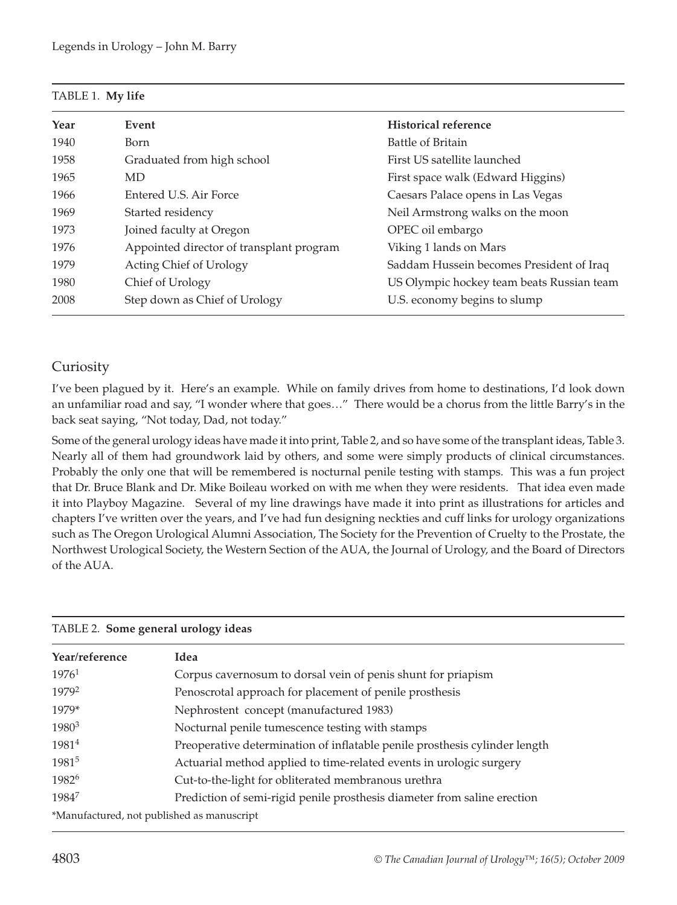## TABLE 1. **My life**

| Year | Event                                    | <b>Historical reference</b>               |
|------|------------------------------------------|-------------------------------------------|
| 1940 | Born                                     | Battle of Britain                         |
| 1958 | Graduated from high school               | First US satellite launched               |
| 1965 | MD                                       | First space walk (Edward Higgins)         |
| 1966 | Entered U.S. Air Force                   | Caesars Palace opens in Las Vegas         |
| 1969 | Started residency                        | Neil Armstrong walks on the moon          |
| 1973 | Joined faculty at Oregon                 | OPEC oil embargo                          |
| 1976 | Appointed director of transplant program | Viking 1 lands on Mars                    |
| 1979 | Acting Chief of Urology                  | Saddam Hussein becomes President of Iraq  |
| 1980 | Chief of Urology                         | US Olympic hockey team beats Russian team |
| 2008 | Step down as Chief of Urology            | U.S. economy begins to slump              |
|      |                                          |                                           |

# Curiosity

I've been plagued by it. Here's an example. While on family drives from home to destinations, I'd look down an unfamiliar road and say, "I wonder where that goes…" There would be a chorus from the little Barry's in the back seat saying, "Not today, Dad, not today."

Some of the general urology ideas have made it into print, Table 2, and so have some of the transplant ideas, Table 3. Nearly all of them had groundwork laid by others, and some were simply products of clinical circumstances. Probably the only one that will be remembered is nocturnal penile testing with stamps. This was a fun project that Dr. Bruce Blank and Dr. Mike Boileau worked on with me when they were residents. That idea even made it into Playboy Magazine. Several of my line drawings have made it into print as illustrations for articles and chapters I've written over the years, and I've had fun designing neckties and cuff links for urology organizations such as The Oregon Urological Alumni Association, The Society for the Prevention of Cruelty to the Prostate, the Northwest Urological Society, the Western Section of the AUA, the Journal of Urology, and the Board of Directors of the AUA.

| Year/reference    | Idea                                                                       |  |  |
|-------------------|----------------------------------------------------------------------------|--|--|
| $1976^1$          | Corpus cavernosum to dorsal vein of penis shunt for priapism               |  |  |
| 1979 <sup>2</sup> | Penoscrotal approach for placement of penile prosthesis                    |  |  |
| 1979*             | Nephrostent concept (manufactured 1983)                                    |  |  |
| 1980 <sup>3</sup> | Nocturnal penile tumescence testing with stamps                            |  |  |
| 19814             | Preoperative determination of inflatable penile prosthesis cylinder length |  |  |
| 1981 <sup>5</sup> | Actuarial method applied to time-related events in urologic surgery        |  |  |
| 1982 <sup>6</sup> | Cut-to-the-light for obliterated membranous urethra                        |  |  |
| 19847             | Prediction of semi-rigid penile prosthesis diameter from saline erection   |  |  |
|                   | *Manufactured, not published as manuscript                                 |  |  |

# TABLE 2. **Some general urology ideas**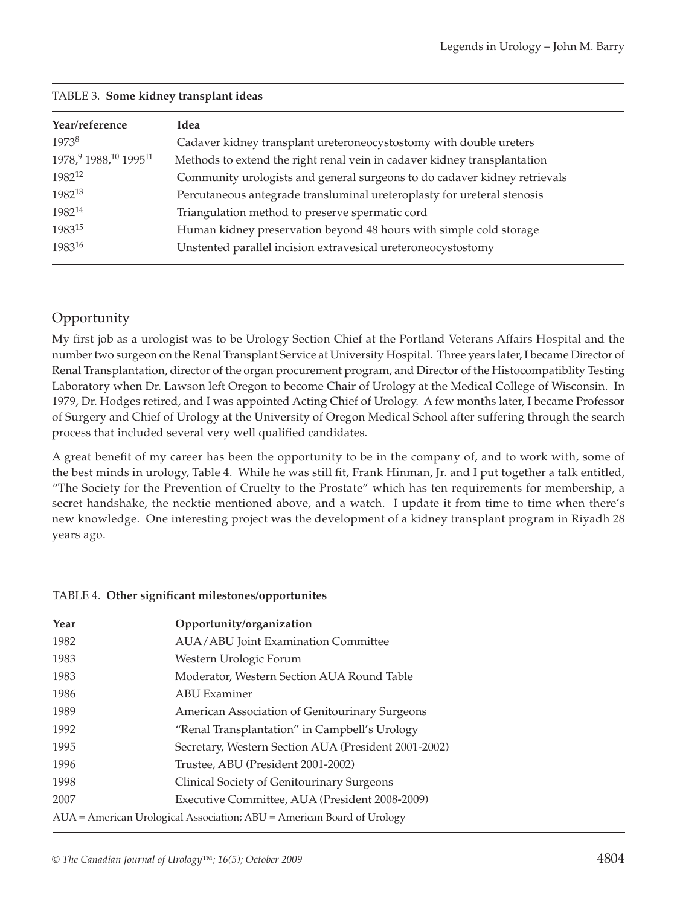| Year/reference         | Idea                                                                      |
|------------------------|---------------------------------------------------------------------------|
| 19738                  | Cadaver kidney transplant ureteroneocystostomy with double ureters        |
| 1978, 91988, 10 199511 | Methods to extend the right renal vein in cadaver kidney transplantation  |
| 1982 <sup>12</sup>     | Community urologists and general surgeons to do cadaver kidney retrievals |
| 198213                 | Percutaneous antegrade transluminal ureteroplasty for ureteral stenosis   |
| 1982 <sup>14</sup>     | Triangulation method to preserve spermatic cord                           |
| 198315                 | Human kidney preservation beyond 48 hours with simple cold storage        |
| 198316                 | Unstented parallel incision extravesical ureteroneocystostomy             |
|                        |                                                                           |

## TABLE 3. **Some kidney transplant ideas**

# **Opportunity**

My first job as a urologist was to be Urology Section Chief at the Portland Veterans Affairs Hospital and the number two surgeon on the Renal Transplant Service at University Hospital. Three years later, I became Director of Renal Transplantation, director of the organ procurement program, and Director of the Histocompatiblity Testing Laboratory when Dr. Lawson left Oregon to become Chair of Urology at the Medical College of Wisconsin. In 1979, Dr. Hodges retired, and I was appointed Acting Chief of Urology. A few months later, I became Professor of Surgery and Chief of Urology at the University of Oregon Medical School after suffering through the search process that included several very well qualified candidates.

A great benefit of my career has been the opportunity to be in the company of, and to work with, some of the best minds in urology, Table 4. While he was still fit, Frank Hinman, Jr. and I put together a talk entitled, "The Society for the Prevention of Cruelty to the Prostate" which has ten requirements for membership, a secret handshake, the necktie mentioned above, and a watch. I update it from time to time when there's new knowledge. One interesting project was the development of a kidney transplant program in Riyadh 28 years ago.

| Year                                                                       | Opportunity/organization                             |  |
|----------------------------------------------------------------------------|------------------------------------------------------|--|
| 1982                                                                       | <b>AUA/ABU</b> Joint Examination Committee           |  |
| 1983                                                                       | Western Urologic Forum                               |  |
| 1983                                                                       | Moderator, Western Section AUA Round Table           |  |
| 1986                                                                       | <b>ABU Examiner</b>                                  |  |
| 1989                                                                       | American Association of Genitourinary Surgeons       |  |
| 1992                                                                       | "Renal Transplantation" in Campbell's Urology        |  |
| 1995                                                                       | Secretary, Western Section AUA (President 2001-2002) |  |
| 1996                                                                       | Trustee, ABU (President 2001-2002)                   |  |
| 1998                                                                       | Clinical Society of Genitourinary Surgeons           |  |
| 2007                                                                       | Executive Committee, AUA (President 2008-2009)       |  |
| $AUA =$ American Urological Association; $ABU =$ American Board of Urology |                                                      |  |

## TABLE 4. Other significant milestones/opportunites